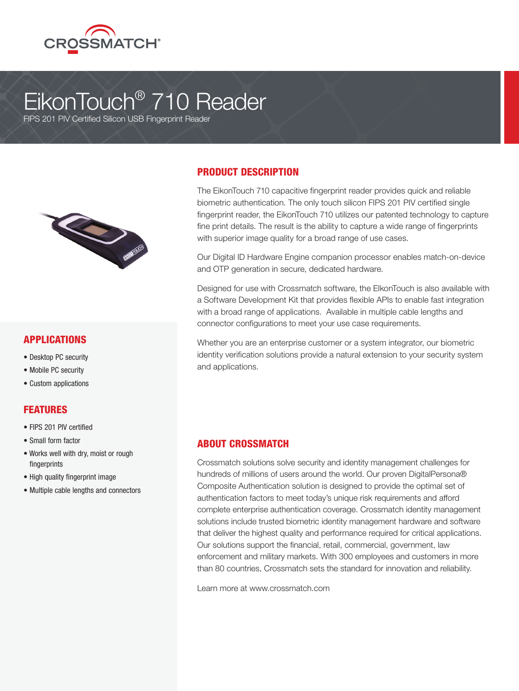

# EikonTouch® 710 Reader

FIPS 201 PIV Certified Silicon USB Fingerprint Reader



#### APPLICATIONS

- Desktop PC security
- Mobile PC security
- Custom applications

#### FEATURES

- FIPS 201 PIV certified
- Small form factor
- Works well with dry, moist or rough fingerprints
- High quality fingerprint image
- Multiple cable lengths and connectors

### PRODUCT DESCRIPTION

The EikonTouch 710 capacitive fingerprint reader provides quick and reliable biometric authentication. The only touch silicon FIPS 201 PIV certified single fingerprint reader, the EikonTouch 710 utilizes our patented technology to capture fine print details. The result is the ability to capture a wide range of fingerprints with superior image quality for a broad range of use cases.

Our Digital ID Hardware Engine companion processor enables match-on-device and OTP generation in secure, dedicated hardware.

Designed for use with Crossmatch software, the EIkonTouch is also available with a Software Development Kit that provides flexible APIs to enable fast integration with a broad range of applications. Available in multiple cable lengths and connector configurations to meet your use case requirements.

Whether you are an enterprise customer or a system integrator, our biometric identity verification solutions provide a natural extension to your security system and applications.

#### ABOUT CROSSMATCH

Crossmatch solutions solve security and identity management challenges for hundreds of millions of users around the world. Our proven DigitalPersona® Composite Authentication solution is designed to provide the optimal set of authentication factors to meet today's unique risk requirements and afford complete enterprise authentication coverage. Crossmatch identity management solutions include trusted biometric identity management hardware and software that deliver the highest quality and performance required for critical applications. Our solutions support the financial, retail, commercial, government, law enforcement and military markets. With 300 employees and customers in more than 80 countries, Crossmatch sets the standard for innovation and reliability.

Learn more at www.crossmatch.com